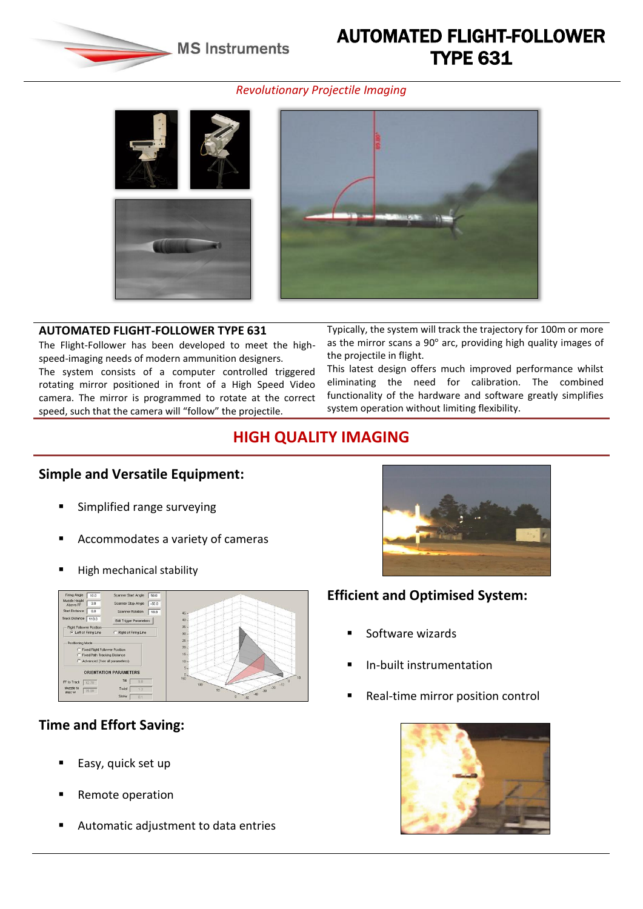**MS Instruments** 

# AUTOMATED FLIGHT-FOLLOWER TYPE 631

#### *Revolutionary Projectile Imaging*



The Flight-Follower has been developed to meet the highspeed-imaging needs of modern ammunition designers.

The system consists of a computer controlled triggered rotating mirror positioned in front of a High Speed Video camera. The mirror is programmed to rotate at the correct speed, such that the camera will "follow" the projectile.

**AUTOMATED FLIGHT-FOLLOWER TYPE 631** Typically, the system will track the trajectory for 100m or more as the mirror scans a 90° arc, providing high quality images of the projectile in flight.

> This latest design offers much improved performance whilst eliminating the need for calibration. The combined functionality of the hardware and software greatly simplifies system operation without limiting flexibility.

## **HIGH QUALITY IMAGING**

### **Simple and Versatile Equipment:**

- Simplified range surveying
- Accommodates a variety of cameras
- High mechanical stability



## **Time and Effort Saving:**

- $\blacksquare$  Easy, quick set up
- Remote operation
- Automatic adjustment to data entries



## **Efficient and Optimised System:**

- Software wizards
- In-built instrumentation
- Real-time mirror position control